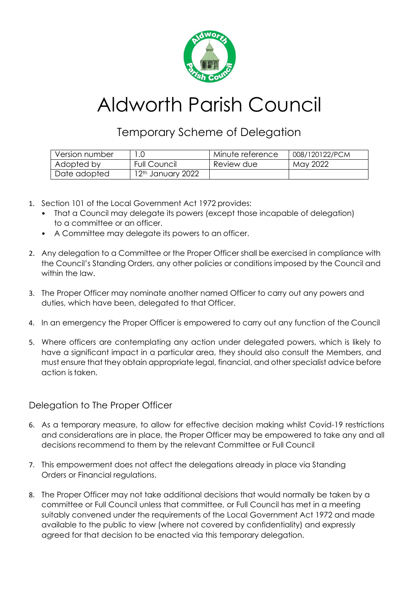

## Aldworth Parish Council

## Temporary Scheme of Delegation

| Version number |                     | Minute reference | 008/120122/PCM |
|----------------|---------------------|------------------|----------------|
| Adopted by     | <b>Full Council</b> | Review due       | May 2022       |
| Date adopted   | 12th January 2022   |                  |                |

- 1. Section 101 of the Local Government Act 1972 provides:
	- That a Council may delegate its powers (except those incapable of delegation) to a committee or an officer.
	- A Committee may delegate its powers to an officer.
- 2. Any delegation to a Committee or the Proper Officer shall be exercised in compliance with the Council's Standing Orders, any other policies or conditions imposed by the Council and within the law.
- 3. The Proper Officer may nominate another named Officer to carry out any powers and duties, which have been, delegated to that Officer.
- 4. In an emergency the Proper Officer is empowered to carry out any function of the Council
- 5. Where officers are contemplating any action under delegated powers, which is likely to have a significant impact in a particular area, they should also consult the Members, and must ensure that they obtain appropriate legal, financial, and other specialist advice before action istaken.

## Delegation to The Proper Officer

- 6. As a temporary measure, to allow for effective decision making whilst Covid-19 restrictions and considerations are in place, the Proper Officer may be empowered to take any and all decisions recommend to them by the relevant Committee or Full Council
- 7. This empowerment does not affect the delegations already in place via Standing Orders or Financial regulations.
- 8. The Proper Officer may not take additional decisions that would normally be taken by a committee or Full Council unless that committee, or Full Council has met in a meeting suitably convened under the requirements of the Local Government Act 1972 and made available to the public to view (where not covered by confidentiality) and expressly agreed for that decision to be enacted via this temporary delegation.